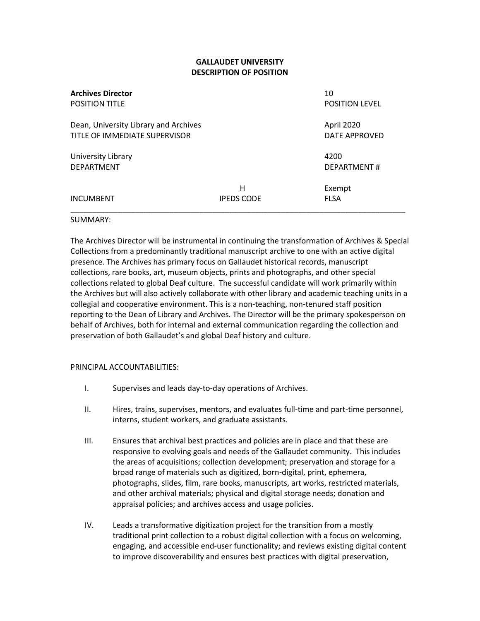# **GALLAUDET UNIVERSITY DESCRIPTION OF POSITION**

| <b>Archives Director</b><br><b>POSITION TITLE</b>                      |                        | 10<br><b>POSITION LEVEL</b> |
|------------------------------------------------------------------------|------------------------|-----------------------------|
| Dean, University Library and Archives<br>TITLE OF IMMEDIATE SUPERVISOR |                        | April 2020<br>DATE APPROVED |
| University Library<br><b>DEPARTMENT</b>                                |                        | 4200<br>DEPARTMENT#         |
| <b>INCUMBENT</b>                                                       | Н<br><b>IPEDS CODE</b> | Exempt<br><b>FLSA</b>       |

#### SUMMARY:

The Archives Director will be instrumental in continuing the transformation of Archives & Special Collections from a predominantly traditional manuscript archive to one with an active digital presence. The Archives has primary focus on Gallaudet historical records, manuscript collections, rare books, art, museum objects, prints and photographs, and other special collections related to global Deaf culture. The successful candidate will work primarily within the Archives but will also actively collaborate with other library and academic teaching units in a collegial and cooperative environment. This is a non-teaching, non-tenured staff position reporting to the Dean of Library and Archives. The Director will be the primary spokesperson on behalf of Archives, both for internal and external communication regarding the collection and preservation of both Gallaudet's and global Deaf history and culture.

#### PRINCIPAL ACCOUNTABILITIES:

- I. Supervises and leads day-to-day operations of Archives.
- II. Hires, trains, supervises, mentors, and evaluates full-time and part-time personnel, interns, student workers, and graduate assistants.
- III. Ensures that archival best practices and policies are in place and that these are responsive to evolving goals and needs of the Gallaudet community. This includes the areas of acquisitions; collection development; preservation and storage for a broad range of materials such as digitized, born-digital, print, ephemera, photographs, slides, film, rare books, manuscripts, art works, restricted materials, and other archival materials; physical and digital storage needs; donation and appraisal policies; and archives access and usage policies.
- IV. Leads a transformative digitization project for the transition from a mostly traditional print collection to a robust digital collection with a focus on welcoming, engaging, and accessible end-user functionality; and reviews existing digital content to improve discoverability and ensures best practices with digital preservation,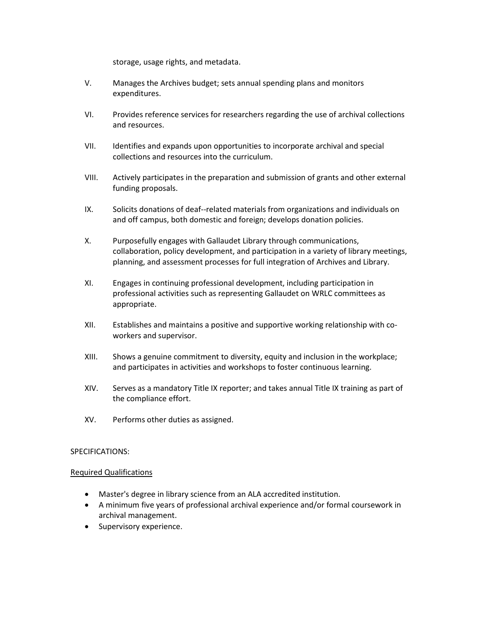storage, usage rights, and metadata.

- V. Manages the Archives budget; sets annual spending plans and monitors expenditures.
- VI. Provides reference services for researchers regarding the use of archival collections and resources.
- VII. Identifies and expands upon opportunities to incorporate archival and special collections and resources into the curriculum.
- VIII. Actively participates in the preparation and submission of grants and other external funding proposals.
- IX. Solicits donations of deaf--related materials from organizations and individuals on and off campus, both domestic and foreign; develops donation policies.
- X. Purposefully engages with Gallaudet Library through communications, collaboration, policy development, and participation in a variety of library meetings, planning, and assessment processes for full integration of Archives and Library.
- XI. Engages in continuing professional development, including participation in professional activities such as representing Gallaudet on WRLC committees as appropriate.
- XII. Establishes and maintains a positive and supportive working relationship with coworkers and supervisor.
- XIII. Shows a genuine commitment to diversity, equity and inclusion in the workplace; and participates in activities and workshops to foster continuous learning.
- XIV. Serves as a mandatory Title IX reporter; and takes annual Title IX training as part of the compliance effort.
- XV. Performs other duties as assigned.

# SPECIFICATIONS:

# Required Qualifications

- Master's degree in library science from an ALA accredited institution.
- A minimum five years of professional archival experience and/or formal coursework in archival management.
- Supervisory experience.